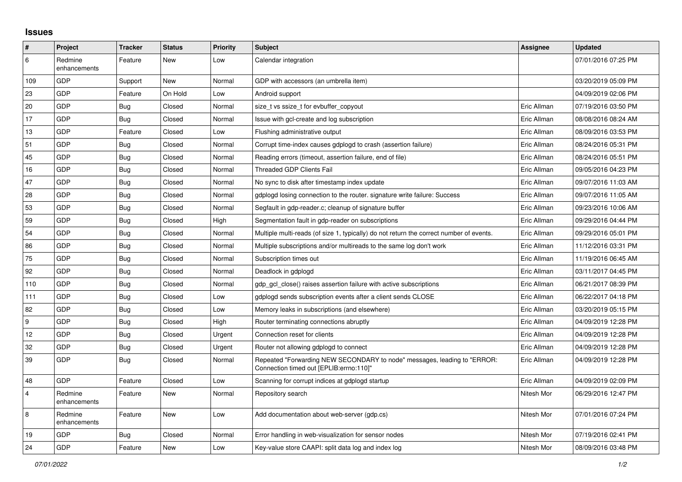## **Issues**

| $\vert$ #      | Project                 | <b>Tracker</b> | <b>Status</b> | <b>Priority</b> | <b>Subject</b>                                                                                                      | <b>Assignee</b> | <b>Updated</b>      |
|----------------|-------------------------|----------------|---------------|-----------------|---------------------------------------------------------------------------------------------------------------------|-----------------|---------------------|
| 6              | Redmine<br>enhancements | Feature        | New           | Low             | Calendar integration                                                                                                |                 | 07/01/2016 07:25 PM |
| 109            | GDP                     | Support        | New           | Normal          | GDP with accessors (an umbrella item)                                                                               |                 | 03/20/2019 05:09 PM |
| 23             | GDP                     | Feature        | On Hold       | Low             | Android support                                                                                                     |                 | 04/09/2019 02:06 PM |
| 20             | GDP                     | Bug            | Closed        | Normal          | size t vs ssize t for evbuffer copyout                                                                              | Eric Allman     | 07/19/2016 03:50 PM |
| 17             | <b>GDP</b>              | Bug            | Closed        | Normal          | Issue with gcl-create and log subscription                                                                          | Eric Allman     | 08/08/2016 08:24 AM |
| 13             | GDP                     | Feature        | Closed        | Low             | Flushing administrative output                                                                                      | Eric Allman     | 08/09/2016 03:53 PM |
| 51             | GDP                     | <b>Bug</b>     | Closed        | Normal          | Corrupt time-index causes gdplogd to crash (assertion failure)                                                      | Eric Allman     | 08/24/2016 05:31 PM |
| 45             | GDP                     | Bug            | Closed        | Normal          | Reading errors (timeout, assertion failure, end of file)                                                            | Eric Allman     | 08/24/2016 05:51 PM |
| 16             | GDP                     | <b>Bug</b>     | Closed        | Normal          | <b>Threaded GDP Clients Fail</b>                                                                                    | Eric Allman     | 09/05/2016 04:23 PM |
| 47             | GDP                     | Bug            | Closed        | Normal          | No sync to disk after timestamp index update                                                                        | Eric Allman     | 09/07/2016 11:03 AM |
| 28             | GDP                     | <b>Bug</b>     | Closed        | Normal          | gdplogd losing connection to the router. signature write failure: Success                                           | Eric Allman     | 09/07/2016 11:05 AM |
| 53             | GDP                     | <b>Bug</b>     | Closed        | Normal          | Segfault in gdp-reader.c; cleanup of signature buffer                                                               | Eric Allman     | 09/23/2016 10:06 AM |
| 59             | GDP                     | <b>Bug</b>     | Closed        | High            | Segmentation fault in gdp-reader on subscriptions                                                                   | Eric Allman     | 09/29/2016 04:44 PM |
| 54             | GDP                     | <b>Bug</b>     | Closed        | Normal          | Multiple multi-reads (of size 1, typically) do not return the correct number of events.                             | Eric Allman     | 09/29/2016 05:01 PM |
| 86             | GDP                     | Bug            | Closed        | Normal          | Multiple subscriptions and/or multireads to the same log don't work                                                 | Eric Allman     | 11/12/2016 03:31 PM |
| 75             | GDP                     | Bug            | Closed        | Normal          | Subscription times out                                                                                              | Eric Allman     | 11/19/2016 06:45 AM |
| 92             | GDP                     | <b>Bug</b>     | Closed        | Normal          | Deadlock in gdplogd                                                                                                 | Eric Allman     | 03/11/2017 04:45 PM |
| 110            | <b>GDP</b>              | Bug            | Closed        | Normal          | gdp gcl close() raises assertion failure with active subscriptions                                                  | Eric Allman     | 06/21/2017 08:39 PM |
| 111            | GDP                     | Bug            | Closed        | Low             | gdplogd sends subscription events after a client sends CLOSE                                                        | Eric Allman     | 06/22/2017 04:18 PM |
| 82             | GDP                     | <b>Bug</b>     | Closed        | Low             | Memory leaks in subscriptions (and elsewhere)                                                                       | Eric Allman     | 03/20/2019 05:15 PM |
| 9              | GDP                     | <b>Bug</b>     | Closed        | High            | Router terminating connections abruptly                                                                             | Eric Allman     | 04/09/2019 12:28 PM |
| 12             | GDP                     | <b>Bug</b>     | Closed        | Urgent          | Connection reset for clients                                                                                        | Eric Allman     | 04/09/2019 12:28 PM |
| 32             | GDP                     | Bug            | Closed        | Urgent          | Router not allowing gdplogd to connect                                                                              | Eric Allman     | 04/09/2019 12:28 PM |
| 39             | GDP                     | <b>Bug</b>     | Closed        | Normal          | Repeated "Forwarding NEW SECONDARY to node" messages, leading to "ERROR:<br>Connection timed out [EPLIB:errno:110]" | Eric Allman     | 04/09/2019 12:28 PM |
| 48             | GDP                     | Feature        | Closed        | Low             | Scanning for corrupt indices at gdplogd startup                                                                     | Eric Allman     | 04/09/2019 02:09 PM |
| $\overline{4}$ | Redmine<br>enhancements | Feature        | New           | Normal          | Repository search                                                                                                   | Nitesh Mor      | 06/29/2016 12:47 PM |
| $\overline{8}$ | Redmine<br>enhancements | Feature        | New           | Low             | Add documentation about web-server (gdp.cs)                                                                         | Nitesh Mor      | 07/01/2016 07:24 PM |
| 19             | GDP                     | <b>Bug</b>     | Closed        | Normal          | Error handling in web-visualization for sensor nodes                                                                | Nitesh Mor      | 07/19/2016 02:41 PM |
| 24             | GDP                     | Feature        | <b>New</b>    | Low             | Key-value store CAAPI: split data log and index log                                                                 | Nitesh Mor      | 08/09/2016 03:48 PM |